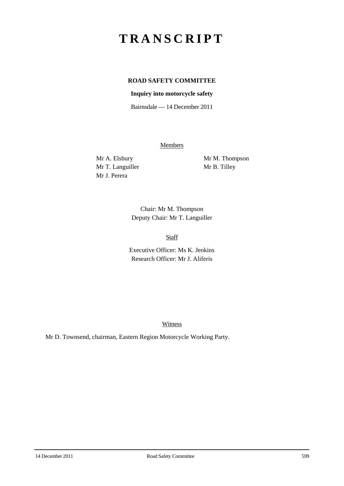## **TRANSCRIPT**

## **ROAD SAFETY COMMITTEE**

## **Inquiry into motorcycle safety**

Bairnsdale — 14 December 2011

**Members** 

Mr T. Languiller Mr B. Tilley Mr J. Perera

Mr A. Elsbury Mr M. Thompson

Chair: Mr M. Thompson Deputy Chair: Mr T. Languiller

Staff

Executive Officer: Ms K. Jenkins Research Officer: Mr J. Aliferis

**Witness** 

Mr D. Townsend, chairman, Eastern Region Motorcycle Working Party.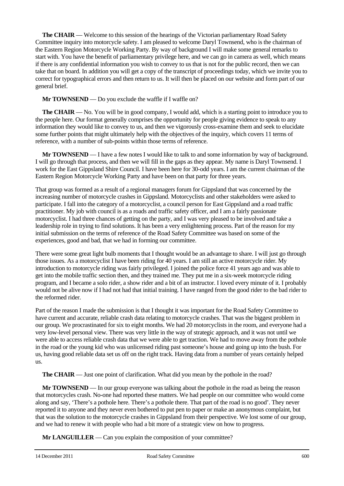**The CHAIR** — Welcome to this session of the hearings of the Victorian parliamentary Road Safety Committee inquiry into motorcycle safety. I am pleased to welcome Daryl Townsend, who is the chairman of the Eastern Region Motorcycle Working Party. By way of background I will make some general remarks to start with. You have the benefit of parliamentary privilege here, and we can go in camera as well, which means if there is any confidential information you wish to convey to us that is not for the public record, then we can take that on board. In addition you will get a copy of the transcript of proceedings today, which we invite you to correct for typographical errors and then return to us. It will then be placed on our website and form part of our general brief.

**Mr TOWNSEND** — Do you exclude the waffle if I waffle on?

**The CHAIR** — No. You will be in good company, I would add, which is a starting point to introduce you to the people here. Our format generally comprises the opportunity for people giving evidence to speak to any information they would like to convey to us, and then we vigorously cross-examine them and seek to elucidate some further points that might ultimately help with the objectives of the inquiry, which covers 11 terms of reference, with a number of sub-points within those terms of reference.

**Mr TOWNSEND** — I have a few notes I would like to talk to and some information by way of background. I will go through that process, and then we will fill in the gaps as they appear. My name is Daryl Townsend. I work for the East Gippsland Shire Council. I have been here for 30-odd years. I am the current chairman of the Eastern Region Motorcycle Working Party and have been on that party for three years.

That group was formed as a result of a regional managers forum for Gippsland that was concerned by the increasing number of motorcycle crashes in Gippsland. Motorcyclists and other stakeholders were asked to participate. I fall into the category of a motorcyclist, a council person for East Gippsland and a road traffic practitioner. My job with council is as a roads and traffic safety officer, and I am a fairly passionate motorcyclist. I had three chances of getting on the party, and I was very pleased to be involved and take a leadership role in trying to find solutions. It has been a very enlightening process. Part of the reason for my initial submission on the terms of reference of the Road Safety Committee was based on some of the experiences, good and bad, that we had in forming our committee.

There were some great light bulb moments that I thought would be an advantage to share. I will just go through those issues. As a motorcyclist I have been riding for 40 years. I am still an active motorcycle rider. My introduction to motorcycle riding was fairly privileged. I joined the police force 41 years ago and was able to get into the mobile traffic section then, and they trained me. They put me in a six-week motorcycle riding program, and I became a solo rider, a show rider and a bit of an instructor. I loved every minute of it. I probably would not be alive now if I had not had that initial training. I have ranged from the good rider to the bad rider to the reformed rider.

Part of the reason I made the submission is that I thought it was important for the Road Safety Committee to have current and accurate, reliable crash data relating to motorcycle crashes. That was the biggest problem in our group. We procrastinated for six to eight months. We had 20 motorcyclists in the room, and everyone had a very low-level personal view. There was very little in the way of strategic approach, and it was not until we were able to access reliable crash data that we were able to get traction. We had to move away from the pothole in the road or the young kid who was unlicensed riding past someone's house and going up into the bush. For us, having good reliable data set us off on the right track. Having data from a number of years certainly helped us.

**The CHAIR** — Just one point of clarification. What did you mean by the pothole in the road?

**Mr TOWNSEND** — In our group everyone was talking about the pothole in the road as being the reason that motorcycles crash. No-one had reported these matters. We had people on our committee who would come along and say, 'There's a pothole here. There's a pothole there. That part of the road is no good'. They never reported it to anyone and they never even bothered to put pen to paper or make an anonymous complaint, but that was the solution to the motorcycle crashes in Gippsland from their perspective. We lost some of our group, and we had to renew it with people who had a bit more of a strategic view on how to progress.

**Mr LANGUILLER** — Can you explain the composition of your committee?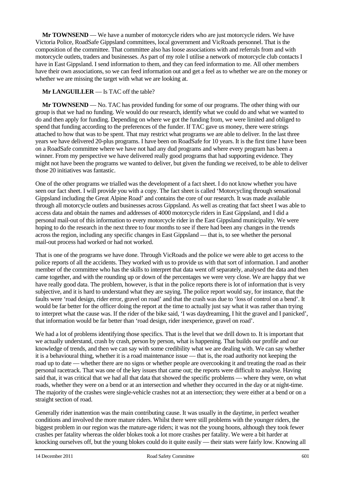**Mr TOWNSEND** — We have a number of motorcycle riders who are just motorcycle riders. We have Victoria Police, RoadSafe Gippsland committees, local government and VicRoads personnel. That is the composition of the committee. That committee also has loose associations with and referrals from and with motorcycle outlets, traders and businesses. As part of my role I utilise a network of motorcycle club contacts I have in East Gippsland. I send information to them, and they can feed information to me. All other members have their own associations, so we can feed information out and get a feel as to whether we are on the money or whether we are missing the target with what we are looking at.

## **Mr LANGUILLER** — Is TAC off the table?

**Mr TOWNSEND** — No. TAC has provided funding for some of our programs. The other thing with our group is that we had no funding. We would do our research, identify what we could do and what we wanted to do and then apply for funding. Depending on where we got the funding from, we were limited and obliged to spend that funding according to the preferences of the funder. If TAC gave us money, there were strings attached to how that was to be spent. That may restrict what programs we are able to deliver. In the last three years we have delivered 20-plus programs. I have been on RoadSafe for 10 years. It is the first time I have been on a RoadSafe committee where we have not had any dud programs and where every program has been a winner. From my perspective we have delivered really good programs that had supporting evidence. They might not have been the programs we wanted to deliver, but given the funding we received, to be able to deliver those 20 initiatives was fantastic.

One of the other programs we trialled was the development of a fact sheet. I do not know whether you have seen our fact sheet. I will provide you with a copy. The fact sheet is called 'Motorcycling through sensational Gippsland including the Great Alpine Road' and contains the core of our research. It was made available through all motorcycle outlets and businesses across Gippsland. As well as creating that fact sheet I was able to access data and obtain the names and addresses of 4000 motorcycle riders in East Gippsland, and I did a personal mail-out of this information to every motorcycle rider in the East Gippsland municipality. We were hoping to do the research in the next three to four months to see if there had been any changes in the trends across the region, including any specific changes in East Gippsland — that is, to see whether the personal mail-out process had worked or had not worked.

That is one of the programs we have done. Through VicRoads and the police we were able to get access to the police reports of all the accidents. They worked with us to provide us with that sort of information. I and another member of the committee who has the skills to interpret that data went off separately, analysed the data and then came together, and with the rounding up or down of the percentages we were very close. We are happy that we have really good data. The problem, however, is that in the police reports there is lot of information that is very subjective, and it is hard to understand what they are saying. The police report would say, for instance, that the faults were 'road design, rider error, gravel on road' and that the crash was due to 'loss of control on a bend'. It would be far better for the officer doing the report at the time to actually just say what it was rather than trying to interpret what the cause was. If the rider of the bike said, 'I was daydreaming, I hit the gravel and I panicked', that information would be far better than 'road design, rider inexperience, gravel on road'.

We had a lot of problems identifying those specifics. That is the level that we drill down to. It is important that we actually understand, crash by crash, person by person, what is happening. That builds our profile and our knowledge of trends, and then we can say with some credibility what we are dealing with. We can say whether it is a behavioural thing, whether it is a road maintenance issue — that is, the road authority not keeping the road up to date — whether there are no signs or whether people are overcooking it and treating the road as their personal racetrack. That was one of the key issues that came out; the reports were difficult to analyse. Having said that, it was critical that we had all that data that showed the specific problems — where they were, on what roads, whether they were on a bend or at an intersection and whether they occurred in the day or at night-time. The majority of the crashes were single-vehicle crashes not at an intersection; they were either at a bend or on a straight section of road.

Generally rider inattention was the main contributing cause. It was usually in the daytime, in perfect weather conditions and involved the more mature riders. Whilst there were still problems with the younger riders, the biggest problem in our region was the mature-age riders; it was not the young hoons, although they took fewer crashes per fatality whereas the older blokes took a lot more crashes per fatality. We were a bit harder at knocking ourselves off, but the young blokes could do it quite easily — their stats were fairly low. Knowing all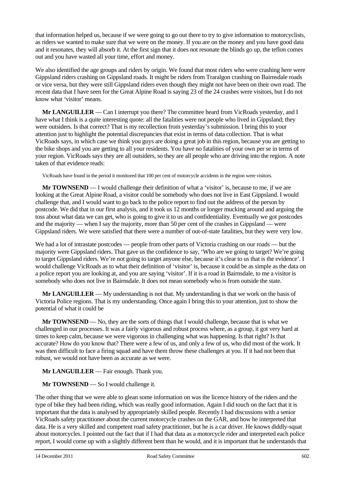that information helped us, because if we were going to go out there to try to give information to motorcyclists, as riders we wanted to make sure that we were on the money. If you are on the money and you have good data and it resonates, they will absorb it. At the first sign that it does not resonate the blinds go up, the teflon comes out and you have wasted all your time, effort and money.

We also identified the age groups and riders by origin. We found that most riders who were crashing here were Gippsland riders crashing on Gippsland roads. It might be riders from Traralgon crashing on Bairnsdale roads or vice versa, but they were still Gippsland riders even though they might not have been on their own road. The recent data that I have seen for the Great Alpine Road is saying 23 of the 24 crashes were visitors, but I do not know what 'visitor' means.

**Mr LANGUILLER** — Can I interrupt you there? The committee heard from VicRoads yesterday, and I have what I think is a quite interesting quote: all the fatalities were not people who lived in Gippsland; they were outsiders. Is that correct? That is my recollection from yesterday's submission. I bring this to your attention just to highlight the potential discrepancies that exist in terms of data collection. That is what VicRoads says, in which case we think you guys are doing a great job in this region, because you are getting to the bike shops and you are getting to all your residents. You have no fatalities of your own per se in terms of your region. VicRoads says they are all outsiders, so they are all people who are driving into the region. A note taken of that evidence reads:

VicRoads have found in the period it monitored that 100 per cent of motorcycle accidents in the region were visitors.

**Mr TOWNSEND** — I would challenge their definition of what a 'visitor' is, because to me, if we are looking at the Great Alpine Road, a visitor could be somebody who does not live in East Gippsland. I would challenge that, and I would want to go back to the police report to find out the address of the person by postcode. We did that in our first analysis, and it took us 12 months or longer mucking around and arguing the toss about what data we can get, who is going to give it to us and confidentiality. Eventually we got postcodes and the majority — when I say the majority, more than 50 per cent of the crashes in Gippsland — were Gippsland riders. We were satisfied that there were a number of out-of-state fatalities, but they were very low.

We had a lot of intrastate postcodes — people from other parts of Victoria crashing on our roads — but the majority were Gippsland riders. That gave us the confidence to say, 'Who are we going to target? We're going to target Gippsland riders. We're not going to target anyone else, because it's clear to us that is the evidence'. I would challenge VicRoads as to what their definition of 'visitor' is, because it could be as simple as the data on a police report you are looking at, and you are saying 'visitor'. If it is a road in Bairnsdale, to me a visitor is somebody who does not live in Bairnsdale. It does not mean somebody who is from outside the state.

**Mr LANGUILLER** — My understanding is not that. My understanding is that we work on the basis of Victoria Police regions. That is my understanding. Once again I bring this to your attention, just to show the potential of what it could be

**Mr TOWNSEND** — No, they are the sorts of things that I would challenge, because that is what we challenged in our processes. It was a fairly vigorous and robust process where, as a group, it got very hard at times to keep calm, because we were vigorous in challenging what was happening. Is that right? Is that accurate? How do you know that? There were a few of us, and only a few of us, who did most of the work. It was then difficult to face a firing squad and have them throw these challenges at you. If it had not been that robust, we would not have been as accurate as we were.

**Mr LANGUILLER** — Fair enough. Thank you.

**Mr TOWNSEND** — So I would challenge it.

The other thing that we were able to glean some information on was the licence history of the riders and the type of bike they had been riding, which was really good information. Again I did touch on the fact that it is important that the data is analysed by appropriately skilled people. Recently I had discussions with a senior VicRoads safety practitioner about the current motorcycle crashes on the GAR, and how he interpreted that data. He is a very skilled and competent road safety practitioner, but he is a car driver. He knows diddly-squat about motorcycles. I pointed out the fact that if I had that data as a motorcycle rider and interpreted each police report, I would come up with a slightly different bent than he would, and it is important that he understands that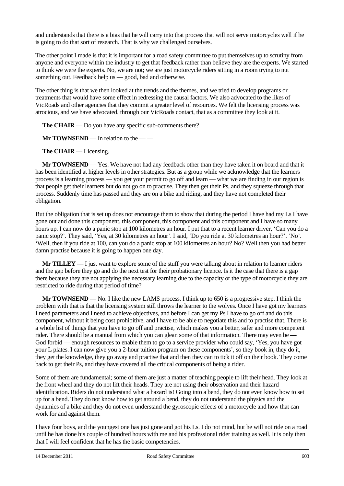and understands that there is a bias that he will carry into that process that will not serve motorcycles well if he is going to do that sort of research. That is why we challenged ourselves.

The other point I made is that it is important for a road safety committee to put themselves up to scrutiny from anyone and everyone within the industry to get that feedback rather than believe they are the experts. We started to think we were the experts. No, we are not; we are just motorcycle riders sitting in a room trying to nut something out. Feedback help us — good, bad and otherwise.

The other thing is that we then looked at the trends and the themes, and we tried to develop programs or treatments that would have some effect in redressing the causal factors. We also advocated to the likes of VicRoads and other agencies that they commit a greater level of resources. We felt the licensing process was atrocious, and we have advocated, through our VicRoads contact, that as a committee they look at it.

**The CHAIR** — Do you have any specific sub-comments there?

**Mr TOWNSEND** — In relation to the — —

**The CHAIR** — Licensing.

**Mr TOWNSEND** — Yes. We have not had any feedback other than they have taken it on board and that it has been identified at higher levels in other strategies. But as a group while we acknowledge that the learners process is a learning process — you get your permit to go off and learn — what we are finding in our region is that people get their learners but do not go on to practise. They then get their Ps, and they squeeze through that process. Suddenly time has passed and they are on a bike and riding, and they have not completed their obligation.

But the obligation that is set up does not encourage them to show that during the period I have had my Ls I have gone out and done this component, this component, this component and this component and I have so many hours up. I can now do a panic stop at 100 kilometres an hour. I put that to a recent learner driver, 'Can you do a panic stop?'. They said, 'Yes, at 30 kilometres an hour'. I said, 'Do you ride at 30 kilometres an hour?'. 'No'. 'Well, then if you ride at 100, can you do a panic stop at 100 kilometres an hour? No? Well then you had better damn practise because it is going to happen one day.

**Mr TILLEY** — I just want to explore some of the stuff you were talking about in relation to learner riders and the gap before they go and do the next test for their probationary licence. Is it the case that there is a gap there because they are not applying the necessary learning due to the capacity or the type of motorcycle they are restricted to ride during that period of time?

**Mr TOWNSEND** — No. I like the new LAMS process. I think up to 650 is a progressive step. I think the problem with that is that the licensing system still throws the learner to the wolves. Once I have got my learners I need parameters and I need to achieve objectives, and before I can get my Ps I have to go off and do this component, without it being cost prohibitive, and I have to be able to negotiate this and to practise that. There is a whole list of things that you have to go off and practise, which makes you a better, safer and more competent rider. There should be a manual from which you can glean some of that information. There may even be — God forbid — enough resources to enable them to go to a service provider who could say, 'Yes, you have got your L plates. I can now give you a 2-hour tuition program on these components', so they book in, they do it, they get the knowledge, they go away and practise that and then they can to tick it off on their book. They come back to get their Ps, and they have covered all the critical components of being a rider.

Some of them are fundamental; some of them are just a matter of teaching people to lift their head. They look at the front wheel and they do not lift their heads. They are not using their observation and their hazard identification. Riders do not understand what a hazard is! Going into a bend, they do not even know how to set up for a bend. They do not know how to get around a bend, they do not understand the physics and the dynamics of a bike and they do not even understand the gyroscopic effects of a motorcycle and how that can work for and against them.

I have four boys, and the youngest one has just gone and got his Ls. I do not mind, but he will not ride on a road until he has done his couple of hundred hours with me and his professional rider training as well. It is only then that I will feel confident that he has the basic competencies.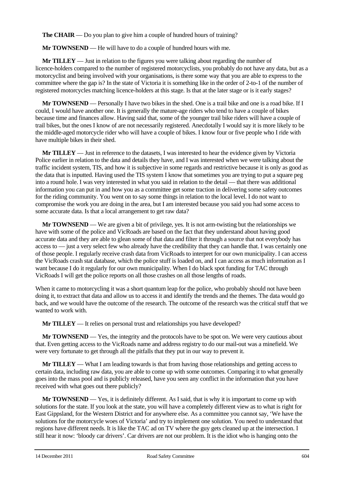**The CHAIR** — Do you plan to give him a couple of hundred hours of training?

**Mr TOWNSEND** — He will have to do a couple of hundred hours with me.

**Mr TILLEY** — Just in relation to the figures you were talking about regarding the number of licence-holders compared to the number of registered motorcyclists, you probably do not have any data, but as a motorcyclist and being involved with your organisations, is there some way that you are able to express to the committee where the gap is? In the state of Victoria it is something like in the order of 2-to-1 of the number of registered motorcycles matching licence-holders at this stage. Is that at the later stage or is it early stages?

**Mr TOWNSEND** — Personally I have two bikes in the shed. One is a trail bike and one is a road bike. If I could, I would have another one. It is generally the mature-age riders who tend to have a couple of bikes because time and finances allow. Having said that, some of the younger trail bike riders will have a couple of trail bikes, but the ones I know of are not necessarily registered. Anecdotally I would say it is more likely to be the middle-aged motorcycle rider who will have a couple of bikes. I know four or five people who I ride with have multiple bikes in their shed.

**Mr TILLEY** — Just in reference to the datasets, I was interested to hear the evidence given by Victoria Police earlier in relation to the data and details they have, and I was interested when we were talking about the traffic incident system, TIS, and how it is subjective in some regards and restrictive because it is only as good as the data that is inputted. Having used the TIS system I know that sometimes you are trying to put a square peg into a round hole. I was very interested in what you said in relation to the detail — that there was additional information you can put in and how you as a committee get some traction in delivering some safety outcomes for the riding community. You went on to say some things in relation to the local level. I do not want to compromise the work you are doing in the area, but I am interested because you said you had some access to some accurate data. Is that a local arrangement to get raw data?

**Mr TOWNSEND** — We are given a bit of privilege, yes. It is not arm-twisting but the relationships we have with some of the police and VicRoads are based on the fact that they understand about having good accurate data and they are able to glean some of that data and filter it through a source that not everybody has access to — just a very select few who already have the credibility that they can handle that. I was certainly one of those people. I regularly receive crash data from VicRoads to interpret for our own municipality. I can access the VicRoads crash stat database, which the police stuff is loaded on, and I can access as much information as I want because I do it regularly for our own municipality. When I do black spot funding for TAC through VicRoads I will get the police reports on all those crashes on all those lengths of roads.

When it came to motorcycling it was a short quantum leap for the police, who probably should not have been doing it, to extract that data and allow us to access it and identify the trends and the themes. The data would go back, and we would have the outcome of the research. The outcome of the research was the critical stuff that we wanted to work with.

**Mr TILLEY** — It relies on personal trust and relationships you have developed?

**Mr TOWNSEND** — Yes, the integrity and the protocols have to be spot on. We were very cautious about that. Even getting access to the VicRoads name and address registry to do our mail-out was a minefield. We were very fortunate to get through all the pitfalls that they put in our way to prevent it.

**Mr TILLEY** — What I am leading towards is that from having those relationships and getting access to certain data, including raw data, you are able to come up with some outcomes. Comparing it to what generally goes into the mass pool and is publicly released, have you seen any conflict in the information that you have received with what goes out there publicly?

**Mr TOWNSEND** — Yes, it is definitely different. As I said, that is why it is important to come up with solutions for the state. If you look at the state, you will have a completely different view as to what is right for East Gippsland, for the Western District and for anywhere else. As a committee you cannot say, 'We have the solutions for the motorcycle woes of Victoria' and try to implement one solution. You need to understand that regions have different needs. It is like the TAC ad on TV where the guy gets cleaned up at the intersection. I still hear it now: 'bloody car drivers'. Car drivers are not our problem. It is the idiot who is hanging onto the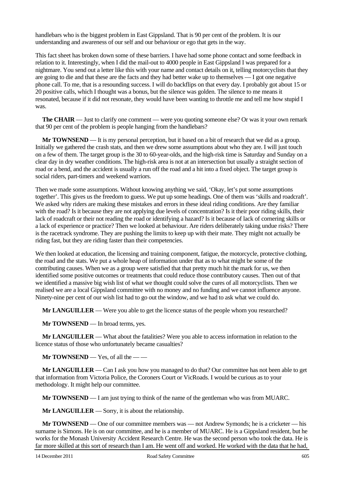handlebars who is the biggest problem in East Gippsland. That is 90 per cent of the problem. It is our understanding and awareness of our self and our behaviour or ego that gets in the way.

This fact sheet has broken down some of these barriers. I have had some phone contact and some feedback in relation to it. Interestingly, when I did the mail-out to 4000 people in East Gippsland I was prepared for a nightmare. You send out a letter like this with your name and contact details on it, telling motorcyclists that they are going to die and that these are the facts and they had better wake up to themselves — I got one negative phone call. To me, that is a resounding success. I will do backflips on that every day. I probably got about 15 or 20 positive calls, which I thought was a bonus, but the silence was golden. The silence to me means it resonated, because if it did not resonate, they would have been wanting to throttle me and tell me how stupid I was.

**The CHAIR** — Just to clarify one comment — were you quoting someone else? Or was it your own remark that 90 per cent of the problem is people hanging from the handlebars?

**Mr TOWNSEND** — It is my personal perception, but it based on a bit of research that we did as a group. Initially we gathered the crash stats, and then we drew some assumptions about who they are. I will just touch on a few of them. The target group is the 30 to 60-year-olds, and the high-risk time is Saturday and Sunday on a clear day in dry weather conditions. The high-risk area is not at an intersection but usually a straight section of road or a bend, and the accident is usually a run off the road and a hit into a fixed object. The target group is social riders, part-timers and weekend warriors.

Then we made some assumptions. Without knowing anything we said, 'Okay, let's put some assumptions together'. This gives us the freedom to guess. We put up some headings. One of them was 'skills and roadcraft'. We asked why riders are making these mistakes and errors in these ideal riding conditions. Are they familiar with the road? Is it because they are not applying due levels of concentration? Is it their poor riding skills, their lack of roadcraft or their not reading the road or identifying a hazard? Is it because of lack of cornering skills or a lack of experience or practice? Then we looked at behaviour. Are riders deliberately taking undue risks? There is the racetrack syndrome. They are pushing the limits to keep up with their mate. They might not actually be riding fast, but they are riding faster than their competencies.

We then looked at education, the licensing and training component, fatigue, the motorcycle, protective clothing, the road and the stats. We put a whole heap of information under that as to what might be some of the contributing causes. When we as a group were satisfied that that pretty much hit the mark for us, we then identified some positive outcomes or treatments that could reduce those contributory causes. Then out of that we identified a massive big wish list of what we thought could solve the cures of all motorcyclists. Then we realised we are a local Gippsland committee with no money and no funding and we cannot influence anyone. Ninety-nine per cent of our wish list had to go out the window, and we had to ask what we could do.

**Mr LANGUILLER** — Were you able to get the licence status of the people whom you researched?

**Mr TOWNSEND** — In broad terms, yes.

**Mr LANGUILLER** — What about the fatalities? Were you able to access information in relation to the licence status of those who unfortunately became casualties?

**Mr TOWNSEND** — Yes, of all the — —

**Mr LANGUILLER** — Can I ask you how you managed to do that? Our committee has not been able to get that information from Victoria Police, the Coroners Court or VicRoads. I would be curious as to your methodology. It might help our committee.

**Mr TOWNSEND** — I am just trying to think of the name of the gentleman who was from MUARC.

**Mr LANGUILLER** — Sorry, it is about the relationship.

**Mr TOWNSEND** — One of our committee members was — not Andrew Symonds; he is a cricketer — his surname is Simons. He is on our committee, and he is a member of MUARC. He is a Gippsland resident, but he works for the Monash University Accident Research Centre. He was the second person who took the data. He is far more skilled at this sort of research than I am. He went off and worked. He worked with the data that he had,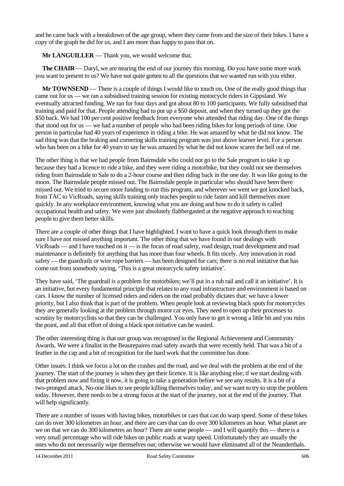and he came back with a breakdown of the age group, where they came from and the size of their bikes. I have a copy of the graph he did for us, and I am more than happy to pass that on.

**Mr LANGUILLER** — Thank you, we would welcome that.

**The CHAIR** — Daryl, we are nearing the end of our journey this morning. Do you have some more work you want to present to us? We have not quite gotten to all the questions that we wanted run with you either.

**Mr TOWNSEND** — There is a couple of things I would like to touch on. One of the really good things that came out for us — we ran a subsidised training session for existing motorcycle riders in Gippsland. We eventually attracted funding. We ran for four days and got about 80 to 100 participants. We fully subsidised that training and paid for that. People attending had to put up a \$50 deposit, and when they turned up they got the \$50 back. We had 100 per cent positive feedback from everyone who attended that riding day. One of the things that stood out for us — we had a number of people who had been riding bikes for long periods of time. One person in particular had 40 years of experience in riding a bike. He was amazed by what he did not know. The sad thing was that the braking and cornering skills training program was just above learner level. For a person who has been on a bike for 40 years to say he was amazed by what he did not know scares the hell out of me.

The other thing is that we had people from Bairnsdale who could not go to the Sale program to take it up because they had a licence to ride a bike, and they were riding a motorbike, but they could not see themselves riding from Bairnsdale to Sale to do a 2-hour course and then riding back in the one day. It was like going to the moon. The Bairnsdale people missed out. The Bairnsdale people in particular who should have been there missed out. We tried to secure more funding to run this program, and wherever we went we got knocked back, from TAC to VicRoads, saying skills training only teaches people to ride faster and kill themselves more quickly. In any workplace environment, knowing what you are doing and how to do it safety is called occupational health and safety. We were just absolutely flabbergasted at the negative approach to teaching people to give them better skills.

There are a couple of other things that I have highlighted. I want to have a quick look through them to make sure I have not missed anything important. The other thing that we have found in our dealings with VicRoads — and I have touched on it — is the focus of road safety, road design, road development and road maintenance is definitely for anything that has more than four wheels. It fits nicely. Any innovation in road safety — the guardrails or wire rope barriers — has been designed for cars; there is no real initiative that has come out from somebody saying, 'This is a great motorcycle safety initiative'.

They have said, 'The guardrail is a problem for motorbikes; we'll put in a rub rail and call it an initiative'. It is an initiative, but every fundamental principle that relates to any road infrastructure and environment is based on cars. I know the number of licensed riders and riders on the road probably dictates that; we have a lower priority, but I also think that is part of the problem. When people look at reviewing black spots for motorcycles they are generally looking at the problem through motor car eyes. They need to open up their processes to scrutiny by motorcyclists so that they can be challenged. You only have to get it wrong a little bit and you miss the point, and all that effort of doing a black spot initiative can be wasted.

The other interesting thing is that our group was recognised in the Regional Achievement and Community Awards. We were a finalist in the Beaurepaires road safety awards that were recently held. That was a bit of a feather in the cap and a bit of recognition for the hard work that the committee has done.

Other issues: I think we focus a lot on the crashes and the road, and we deal with the problem at the end of the journey. The start of the journey is when they get their licence. It is like anything else; if we start dealing with that problem now and fixing it now, it is going to take a generation before we see any results. It is a bit of a two-pronged attack. No-one likes to see people killing themselves today, and we want to try to stop the problem today. However, there needs to be a strong focus at the start of the journey, not at the end of the journey. That will help significantly.

There are a number of issues with having bikes, motorbikes or cars that can do warp speed. Some of these bikes can do over 300 kilometres an hour, and there are cars that can do over 300 kilometres an hour. What planet are we on that we can do 300 kilometres an hour? There are some people — and I will quantify this — there is a very small percentage who will ride bikes on public roads at warp speed. Unfortunately they are usually the ones who do not necessarily wipe themselves out; otherwise we would have eliminated all of the Neanderthals.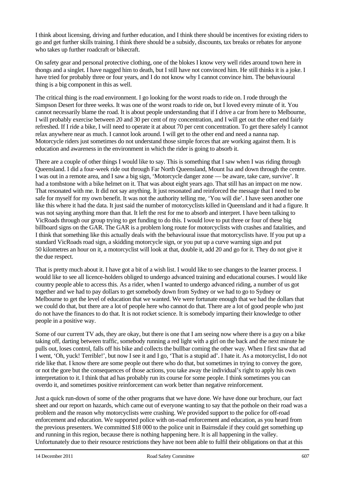I think about licensing, driving and further education, and I think there should be incentives for existing riders to go and get further skills training. I think there should be a subsidy, discounts, tax breaks or rebates for anyone who takes up further roadcraft or bikecraft.

On safety gear and personal protective clothing, one of the blokes I know very well rides around town here in thongs and a singlet. I have nagged him to death, but I still have not convinced him. He still thinks it is a joke. I have tried for probably three or four years, and I do not know why I cannot convince him. The behavioural thing is a big component in this as well.

The critical thing is the road environment. I go looking for the worst roads to ride on. I rode through the Simpson Desert for three weeks. It was one of the worst roads to ride on, but I loved every minute of it. You cannot necessarily blame the road. It is about people understanding that if I drive a car from here to Melbourne, I will probably exercise between 20 and 30 per cent of my concentration, and I will get out the other end fairly refreshed. If I ride a bike, I will need to operate it at about 70 per cent concentration. To get there safely I cannot relax anywhere near as much. I cannot look around. I will get to the other end and need a nanna nap. Motorcycle riders just sometimes do not understand those simple forces that are working against them. It is education and awareness in the environment in which the rider is going to absorb it.

There are a couple of other things I would like to say. This is something that I saw when I was riding through Queensland. I did a four-week ride out through Far North Queensland, Mount Isa and down through the centre. I was out in a remote area, and I saw a big sign, 'Motorcycle danger zone — be aware, take care, survive'. It had a tombstone with a bike helmet on it. That was about eight years ago. That still has an impact on me now. That resonated with me. It did not say anything. It just resonated and reinforced the message that I need to be safe for myself for my own benefit. It was not the authority telling me, 'You will die'. I have seen another one like this where it had the data. It just said the number of motorcyclists killed in Queensland and it had a figure. It was not saying anything more than that. It left the rest for me to absorb and interpret. I have been talking to VicRoads through our group trying to get funding to do this. I would love to put three or four of these big billboard signs on the GAR. The GAR is a problem long route for motorcyclists with crashes and fatalities, and I think that something like this actually deals with the behavioural issue that motorcyclists have. If you put up a standard VicRoads road sign, a skidding motorcycle sign, or you put up a curve warning sign and put 50 kilometres an hour on it, a motorcyclist will look at that, double it, add 20 and go for it. They do not give it the due respect.

That is pretty much about it. I have got a bit of a wish list. I would like to see changes to the learner process. I would like to see all licence-holders obliged to undergo advanced training and educational courses. I would like country people able to access this. As a rider, when I wanted to undergo advanced riding, a number of us got together and we had to pay dollars to get somebody down from Sydney or we had to go to Sydney or Melbourne to get the level of education that we wanted. We were fortunate enough that we had the dollars that we could do that, but there are a lot of people here who cannot do that. There are a lot of good people who just do not have the finances to do that. It is not rocket science. It is somebody imparting their knowledge to other people in a positive way.

Some of our current TV ads, they are okay, but there is one that I am seeing now where there is a guy on a bike taking off, darting between traffic, somebody running a red light with a girl on the back and the next minute he pulls out, loses control, falls off his bike and collects the bullbar coming the other way. When I first saw that ad I went, 'Oh, yuck! Terrible!', but now I see it and I go, 'That is a stupid ad'. I hate it. As a motorcyclist, I do not ride like that. I know there are some people out there who do that, but sometimes in trying to convey the gore, or not the gore but the consequences of those actions, you take away the individual's right to apply his own interpretation to it. I think that ad has probably run its course for some people. I think sometimes you can overdo it, and sometimes positive reinforcement can work better than negative reinforcement.

Just a quick run-down of some of the other programs that we have done. We have done our brochure, our fact sheet and our report on hazards, which came out of everyone wanting to say that the pothole on their road was a problem and the reason why motorcyclists were crashing. We provided support to the police for off-road enforcement and education. We supported police with on-road enforcement and education, as you heard from the previous presenters. We committed \$18 000 to the police unit in Bairnsdale if they could get something up and running in this region, because there is nothing happening here. It is all happening in the valley. Unfortunately due to their resource restrictions they have not been able to fulfil their obligations on that at this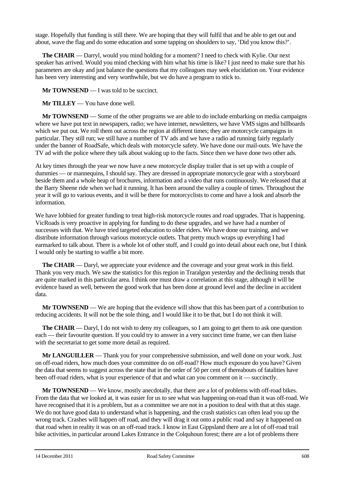stage. Hopefully that funding is still there. We are hoping that they will fulfil that and be able to get out and about, wave the flag and do some education and some tapping on shoulders to say, 'Did you know this?'.

**The CHAIR** — Darryl, would you mind holding for a moment? I need to check with Kylie. Our next speaker has arrived. Would you mind checking with him what his time is like? I just need to make sure that his parameters are okay and just balance the questions that my colleagues may seek elucidation on. Your evidence has been very interesting and very worthwhile, but we do have a program to stick to.

**Mr TOWNSEND** — I was told to be succinct.

**Mr TILLEY** — You have done well.

**Mr TOWNSEND** — Some of the other programs we are able to do include embarking on media campaigns where we have put text in newspapers, radio; we have internet, newsletters, we have VMS signs and billboards which we put out. We roll them out across the region at different times; they are motorcycle campaigns in particular. They still run; we still have a number of TV ads and we have a radio ad running fairly regularly under the banner of RoadSafe, which deals with motorcycle safety. We have done our mail-outs. We have the TV ad with the police where they talk about waking up to the facts. Since then we have done two other ads.

At key times through the year we now have a new motorcycle display trailer that is set up with a couple of dummies — or mannequins, I should say. They are dressed in appropriate motorcycle gear with a storyboard beside them and a whole heap of brochures, information and a video that runs continuously. We released that at the Barry Sheene ride when we had it running. It has been around the valley a couple of times. Throughout the year it will go to various events, and it will be there for motorcyclists to come and have a look and absorb the information.

We have lobbied for greater funding to treat high-risk motorcycle routes and road upgrades. That is happening. VicRoads is very proactive in applying for funding to do these upgrades, and we have had a number of successes with that. We have tried targeted education to older riders. We have done our training, and we distribute information through various motorcycle outlets. That pretty much wraps up everything I had earmarked to talk about. There is a whole lot of other stuff, and I could go into detail about each one, but I think I would only be starting to waffle a bit more.

**The CHAIR** — Daryl, we appreciate your evidence and the coverage and your great work in this field. Thank you very much. We saw the statistics for this region in Traralgon yesterday and the declining trends that are quite marked in this particular area. I think one must draw a correlation at this stage, although it will be evidence based as well, between the good work that has been done at ground level and the decline in accident data.

**Mr TOWNSEND** — We are hoping that the evidence will show that this has been part of a contribution to reducing accidents. It will not be the sole thing, and I would like it to be that, but I do not think it will.

**The CHAIR** — Daryl, I do not wish to deny my colleagues, so I am going to get them to ask one question each — their favourite question. If you could try to answer in a very succinct time frame, we can then liaise with the secretariat to get some more detail as required.

**Mr LANGUILLER** — Thank you for your comprehensive submission, and well done on your work. Just on off-road riders, how much does your committee do on off-road? How much exposure do you have? Given the data that seems to suggest across the state that in the order of 50 per cent of thereabouts of fatalities have been off-road riders, what is your experience of that and what can you comment on it — succinctly.

**Mr TOWNSEND** — We know, mostly anecdotally, that there are a lot of problems with off-road bikes. From the data that we looked at, it was easier for us to see what was happening on-road than it was off-road. We have recognised that it is a problem, but as a committee we are not in a position to deal with that at this stage. We do not have good data to understand what is happening, and the crash statistics can often lead you up the wrong track. Crashes will happen off road, and they will drag it out onto a public road and say it happened on that road when in reality it was on an off-road track. I know in East Gippsland there are a lot of off-road trail bike activities, in particular around Lakes Entrance in the Colquhoun forest; there are a lot of problems there